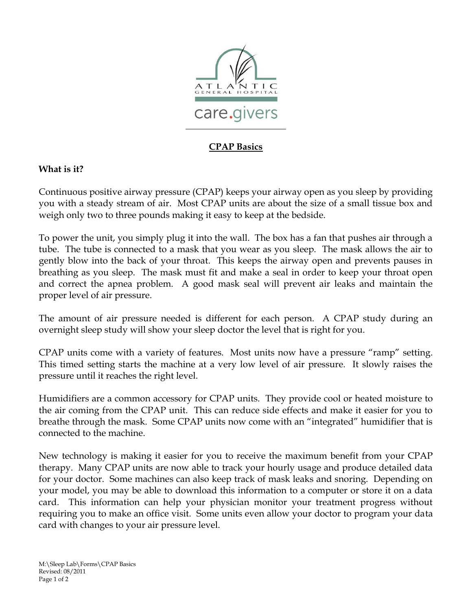

## **CPAP Basics**

## **What is it?**

Continuous positive airway pressure (CPAP) keeps your airway open as you sleep by providing you with a steady stream of air. Most CPAP units are about the size of a small tissue box and weigh only two to three pounds making it easy to keep at the bedside.

To power the unit, you simply plug it into the wall. The box has a fan that pushes air through a tube. The tube is connected to a mask that you wear as you sleep. The mask allows the air to gently blow into the back of your throat. This keeps the airway open and prevents pauses in breathing as you sleep. The mask must fit and make a seal in order to keep your throat open and correct the apnea problem. A good mask seal will prevent air leaks and maintain the proper level of air pressure.

The amount of air pressure needed is different for each person. A CPAP study during an overnight sleep study will show your sleep doctor the level that is right for you.

CPAP units come with a variety of features. Most units now have a pressure "ramp" setting. This timed setting starts the machine at a very low level of air pressure. It slowly raises the pressure until it reaches the right level.

Humidifiers are a common accessory for CPAP units. They provide cool or heated moisture to the air coming from the CPAP unit. This can reduce side effects and make it easier for you to breathe through the mask. Some CPAP units now come with an "integrated" humidifier that is connected to the machine.

New technology is making it easier for you to receive the maximum benefit from your CPAP therapy. Many CPAP units are now able to track your hourly usage and produce detailed data for your doctor. Some machines can also keep track of mask leaks and snoring. Depending on your model, you may be able to download this information to a computer or store it on a data card. This information can help your physician monitor your treatment progress without requiring you to make an office visit. Some units even allow your doctor to program your data card with changes to your air pressure level.